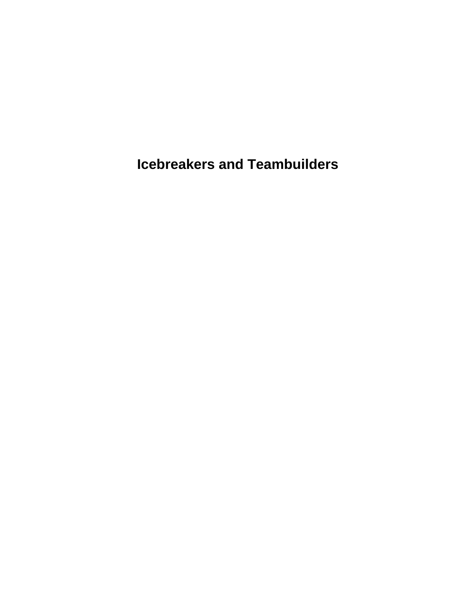**Icebreakers and Teambuilders**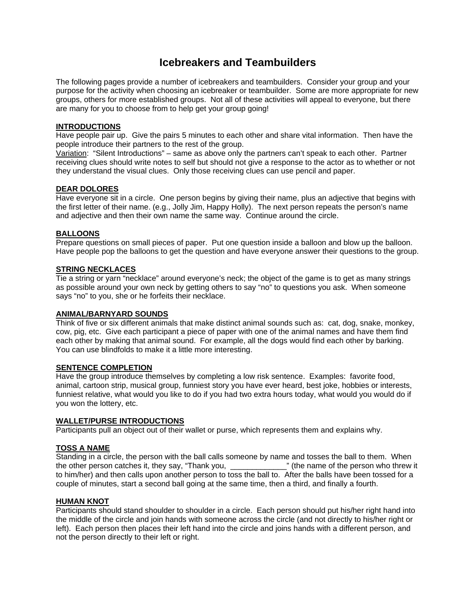# **Icebreakers and Teambuilders**

The following pages provide a number of icebreakers and teambuilders. Consider your group and your purpose for the activity when choosing an icebreaker or teambuilder. Some are more appropriate for new groups, others for more established groups. Not all of these activities will appeal to everyone, but there are many for you to choose from to help get your group going!

### **INTRODUCTIONS**

Have people pair up. Give the pairs 5 minutes to each other and share vital information. Then have the people introduce their partners to the rest of the group.

Variation: "Silent Introductions" – same as above only the partners can't speak to each other. Partner receiving clues should write notes to self but should not give a response to the actor as to whether or not they understand the visual clues. Only those receiving clues can use pencil and paper.

#### **DEAR DOLORES**

Have everyone sit in a circle. One person begins by giving their name, plus an adjective that begins with the first letter of their name. (e.g., Jolly Jim, Happy Holly). The next person repeats the person's name and adjective and then their own name the same way. Continue around the circle.

### **BALLOONS**

Prepare questions on small pieces of paper. Put one question inside a balloon and blow up the balloon. Have people pop the balloons to get the question and have everyone answer their questions to the group.

### **STRING NECKLACES**

Tie a string or yarn "necklace" around everyone's neck; the object of the game is to get as many strings as possible around your own neck by getting others to say "no" to questions you ask. When someone says "no" to you, she or he forfeits their necklace.

#### **ANIMAL/BARNYARD SOUNDS**

Think of five or six different animals that make distinct animal sounds such as: cat, dog, snake, monkey, cow, pig, etc. Give each participant a piece of paper with one of the animal names and have them find each other by making that animal sound. For example, all the dogs would find each other by barking. You can use blindfolds to make it a little more interesting.

#### **SENTENCE COMPLETION**

Have the group introduce themselves by completing a low risk sentence. Examples: favorite food, animal, cartoon strip, musical group, funniest story you have ever heard, best joke, hobbies or interests, funniest relative, what would you like to do if you had two extra hours today, what would you would do if you won the lottery, etc.

#### **WALLET/PURSE INTRODUCTIONS**

Participants pull an object out of their wallet or purse, which represents them and explains why.

# **TOSS A NAME**

Standing in a circle, the person with the ball calls someone by name and tosses the ball to them. When the other person catches it, they say, "Thank you, \_\_\_\_\_\_\_\_\_\_\_\_\_" (the name of the person who threw it to him/her) and then calls upon another person to toss the ball to. After the balls have been tossed for a couple of minutes, start a second ball going at the same time, then a third, and finally a fourth.

#### **HUMAN KNOT**

Participants should stand shoulder to shoulder in a circle. Each person should put his/her right hand into the middle of the circle and join hands with someone across the circle (and not directly to his/her right or left). Each person then places their left hand into the circle and joins hands with a different person, and not the person directly to their left or right.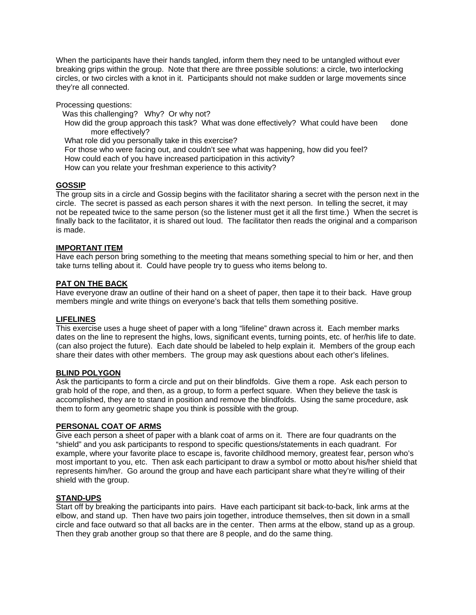When the participants have their hands tangled, inform them they need to be untangled without ever breaking grips within the group. Note that there are three possible solutions: a circle, two interlocking circles, or two circles with a knot in it. Participants should not make sudden or large movements since they're all connected.

Processing questions:

Was this challenging? Why? Or why not?

How did the group approach this task? What was done effectively? What could have been done more effectively?

What role did you personally take in this exercise?

For those who were facing out, and couldn't see what was happening, how did you feel?

How could each of you have increased participation in this activity?

How can you relate your freshman experience to this activity?

# **GOSSIP**

The group sits in a circle and Gossip begins with the facilitator sharing a secret with the person next in the circle. The secret is passed as each person shares it with the next person. In telling the secret, it may not be repeated twice to the same person (so the listener must get it all the first time.) When the secret is finally back to the facilitator, it is shared out loud. The facilitator then reads the original and a comparison is made.

# **IMPORTANT ITEM**

Have each person bring something to the meeting that means something special to him or her, and then take turns telling about it. Could have people try to guess who items belong to.

# **PAT ON THE BACK**

Have everyone draw an outline of their hand on a sheet of paper, then tape it to their back. Have group members mingle and write things on everyone's back that tells them something positive.

# **LIFELINES**

This exercise uses a huge sheet of paper with a long "lifeline" drawn across it. Each member marks dates on the line to represent the highs, lows, significant events, turning points, etc. of her/his life to date. (can also project the future). Each date should be labeled to help explain it. Members of the group each share their dates with other members. The group may ask questions about each other's lifelines.

# **BLIND POLYGON**

Ask the participants to form a circle and put on their blindfolds. Give them a rope. Ask each person to grab hold of the rope, and then, as a group, to form a perfect square. When they believe the task is accomplished, they are to stand in position and remove the blindfolds. Using the same procedure, ask them to form any geometric shape you think is possible with the group.

# **PERSONAL COAT OF ARMS**

Give each person a sheet of paper with a blank coat of arms on it. There are four quadrants on the "shield" and you ask participants to respond to specific questions/statements in each quadrant. For example, where your favorite place to escape is, favorite childhood memory, greatest fear, person who's most important to you, etc. Then ask each participant to draw a symbol or motto about his/her shield that represents him/her. Go around the group and have each participant share what they're willing of their shield with the group.

#### **STAND-UPS**

Start off by breaking the participants into pairs. Have each participant sit back-to-back, link arms at the elbow, and stand up. Then have two pairs join together, introduce themselves, then sit down in a small circle and face outward so that all backs are in the center. Then arms at the elbow, stand up as a group. Then they grab another group so that there are 8 people, and do the same thing.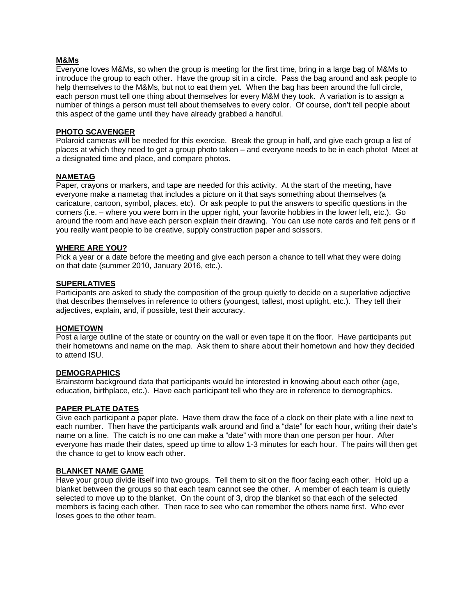#### **M&Ms**

Everyone loves M&Ms, so when the group is meeting for the first time, bring in a large bag of M&Ms to introduce the group to each other. Have the group sit in a circle. Pass the bag around and ask people to help themselves to the M&Ms, but not to eat them yet. When the bag has been around the full circle, each person must tell one thing about themselves for every M&M they took. A variation is to assign a number of things a person must tell about themselves to every color. Of course, don't tell people about this aspect of the game until they have already grabbed a handful.

#### **PHOTO SCAVENGER**

Polaroid cameras will be needed for this exercise. Break the group in half, and give each group a list of places at which they need to get a group photo taken – and everyone needs to be in each photo! Meet at a designated time and place, and compare photos.

# **NAMETAG**

Paper, crayons or markers, and tape are needed for this activity. At the start of the meeting, have everyone make a nametag that includes a picture on it that says something about themselves (a caricature, cartoon, symbol, places, etc). Or ask people to put the answers to specific questions in the corners (i.e. – where you were born in the upper right, your favorite hobbies in the lower left, etc.). Go around the room and have each person explain their drawing. You can use note cards and felt pens or if you really want people to be creative, supply construction paper and scissors.

#### **WHERE ARE YOU?**

Pick a year or a date before the meeting and give each person a chance to tell what they were doing on that date (summer 2010, January 2016, etc.).

#### **SUPERLATIVES**

Participants are asked to study the composition of the group quietly to decide on a superlative adjective that describes themselves in reference to others (youngest, tallest, most uptight, etc.). They tell their adjectives, explain, and, if possible, test their accuracy.

#### **HOMETOWN**

Post a large outline of the state or country on the wall or even tape it on the floor. Have participants put their hometowns and name on the map. Ask them to share about their hometown and how they decided to attend ISU.

#### **DEMOGRAPHICS**

Brainstorm background data that participants would be interested in knowing about each other (age, education, birthplace, etc.). Have each participant tell who they are in reference to demographics.

#### **PAPER PLATE DATES**

Give each participant a paper plate. Have them draw the face of a clock on their plate with a line next to each number. Then have the participants walk around and find a "date" for each hour, writing their date's name on a line. The catch is no one can make a "date" with more than one person per hour. After everyone has made their dates, speed up time to allow 1-3 minutes for each hour. The pairs will then get the chance to get to know each other.

#### **BLANKET NAME GAME**

Have your group divide itself into two groups. Tell them to sit on the floor facing each other. Hold up a blanket between the groups so that each team cannot see the other. A member of each team is quietly selected to move up to the blanket. On the count of 3, drop the blanket so that each of the selected members is facing each other. Then race to see who can remember the others name first. Who ever loses goes to the other team.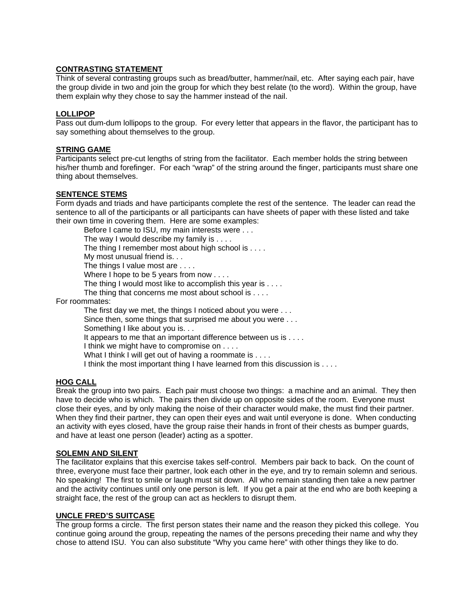# **CONTRASTING STATEMENT**

Think of several contrasting groups such as bread/butter, hammer/nail, etc. After saying each pair, have the group divide in two and join the group for which they best relate (to the word). Within the group, have them explain why they chose to say the hammer instead of the nail.

### **LOLLIPOP**

Pass out dum-dum lollipops to the group. For every letter that appears in the flavor, the participant has to say something about themselves to the group.

#### **STRING GAME**

Participants select pre-cut lengths of string from the facilitator. Each member holds the string between his/her thumb and forefinger. For each "wrap" of the string around the finger, participants must share one thing about themselves.

### **SENTENCE STEMS**

Form dyads and triads and have participants complete the rest of the sentence. The leader can read the sentence to all of the participants or all participants can have sheets of paper with these listed and take their own time in covering them. Here are some examples:

Before I came to ISU, my main interests were . . . The way I would describe my family is . . . . The thing I remember most about high school is . . . . My most unusual friend is. . . The things I value most are . . . . Where I hope to be 5 years from now . . . . The thing I would most like to accomplish this year is . . . . The thing that concerns me most about school is . . . . For roommates: The first day we met, the things I noticed about you were . . . Since then, some things that surprised me about you were . . . Something I like about you is. . . It appears to me that an important difference between us is . . . . I think we might have to compromise on . . . . What I think I will get out of having a roommate is . . . .

I think the most important thing I have learned from this discussion is . . . .

# **HOG CALL**

Break the group into two pairs. Each pair must choose two things: a machine and an animal. They then have to decide who is which. The pairs then divide up on opposite sides of the room. Everyone must close their eyes, and by only making the noise of their character would make, the must find their partner. When they find their partner, they can open their eyes and wait until everyone is done. When conducting an activity with eyes closed, have the group raise their hands in front of their chests as bumper guards, and have at least one person (leader) acting as a spotter.

# **SOLEMN AND SILENT**

The facilitator explains that this exercise takes self-control. Members pair back to back. On the count of three, everyone must face their partner, look each other in the eye, and try to remain solemn and serious. No speaking! The first to smile or laugh must sit down. All who remain standing then take a new partner and the activity continues until only one person is left. If you get a pair at the end who are both keeping a straight face, the rest of the group can act as hecklers to disrupt them.

#### **UNCLE FRED'S SUITCASE**

The group forms a circle. The first person states their name and the reason they picked this college. You continue going around the group, repeating the names of the persons preceding their name and why they chose to attend ISU. You can also substitute "Why you came here" with other things they like to do.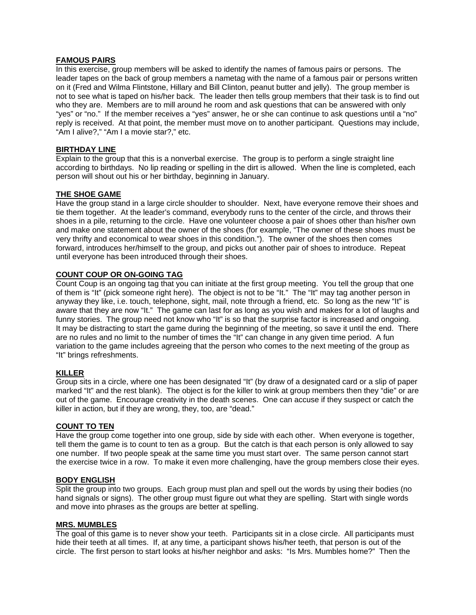### **FAMOUS PAIRS**

In this exercise, group members will be asked to identify the names of famous pairs or persons. The leader tapes on the back of group members a nametag with the name of a famous pair or persons written on it (Fred and Wilma Flintstone, Hillary and Bill Clinton, peanut butter and jelly). The group member is not to see what is taped on his/her back. The leader then tells group members that their task is to find out who they are. Members are to mill around he room and ask questions that can be answered with only "yes" or "no." If the member receives a "yes" answer, he or she can continue to ask questions until a "no" reply is received. At that point, the member must move on to another participant. Questions may include, "Am I alive?," "Am I a movie star?," etc.

### **BIRTHDAY LINE**

Explain to the group that this is a nonverbal exercise. The group is to perform a single straight line according to birthdays. No lip reading or spelling in the dirt is allowed. When the line is completed, each person will shout out his or her birthday, beginning in January.

### **THE SHOE GAME**

Have the group stand in a large circle shoulder to shoulder. Next, have everyone remove their shoes and tie them together. At the leader's command, everybody runs to the center of the circle, and throws their shoes in a pile, returning to the circle. Have one volunteer choose a pair of shoes other than his/her own and make one statement about the owner of the shoes (for example, "The owner of these shoes must be very thrifty and economical to wear shoes in this condition."). The owner of the shoes then comes forward, introduces her/himself to the group, and picks out another pair of shoes to introduce. Repeat until everyone has been introduced through their shoes.

# **COUNT COUP OR ON-GOING TAG**

Count Coup is an ongoing tag that you can initiate at the first group meeting. You tell the group that one of them is "It" (pick someone right here). The object is not to be "It." The "It" may tag another person in anyway they like, i.e. touch, telephone, sight, mail, note through a friend, etc. So long as the new "It" is aware that they are now "It." The game can last for as long as you wish and makes for a lot of laughs and funny stories. The group need not know who "It" is so that the surprise factor is increased and ongoing. It may be distracting to start the game during the beginning of the meeting, so save it until the end. There are no rules and no limit to the number of times the "It" can change in any given time period. A fun variation to the game includes agreeing that the person who comes to the next meeting of the group as "It" brings refreshments.

# **KILLER**

Group sits in a circle, where one has been designated "It" (by draw of a designated card or a slip of paper marked "It" and the rest blank). The object is for the killer to wink at group members then they "die" or are out of the game. Encourage creativity in the death scenes. One can accuse if they suspect or catch the killer in action, but if they are wrong, they, too, are "dead."

#### **COUNT TO TEN**

Have the group come together into one group, side by side with each other. When everyone is together, tell them the game is to count to ten as a group. But the catch is that each person is only allowed to say one number. If two people speak at the same time you must start over. The same person cannot start the exercise twice in a row. To make it even more challenging, have the group members close their eyes.

# **BODY ENGLISH**

Split the group into two groups. Each group must plan and spell out the words by using their bodies (no hand signals or signs). The other group must figure out what they are spelling. Start with single words and move into phrases as the groups are better at spelling.

#### **MRS. MUMBLES**

The goal of this game is to never show your teeth. Participants sit in a close circle. All participants must hide their teeth at all times. If, at any time, a participant shows his/her teeth, that person is out of the circle. The first person to start looks at his/her neighbor and asks: "Is Mrs. Mumbles home?" Then the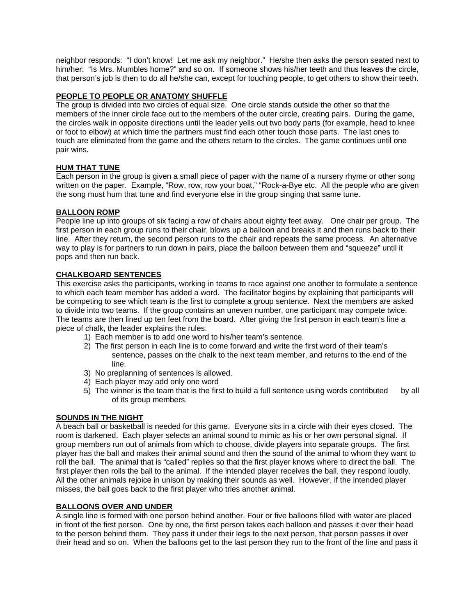neighbor responds: "I don't know! Let me ask my neighbor." He/she then asks the person seated next to him/her: "Is Mrs. Mumbles home?" and so on. If someone shows his/her teeth and thus leaves the circle, that person's job is then to do all he/she can, except for touching people, to get others to show their teeth.

# **PEOPLE TO PEOPLE OR ANATOMY SHUFFLE**

The group is divided into two circles of equal size. One circle stands outside the other so that the members of the inner circle face out to the members of the outer circle, creating pairs. During the game, the circles walk in opposite directions until the leader yells out two body parts (for example, head to knee or foot to elbow) at which time the partners must find each other touch those parts. The last ones to touch are eliminated from the game and the others return to the circles. The game continues until one pair wins.

# **HUM THAT TUNE**

Each person in the group is given a small piece of paper with the name of a nursery rhyme or other song written on the paper. Example, "Row, row, row your boat," "Rock-a-Bye etc. All the people who are given the song must hum that tune and find everyone else in the group singing that same tune.

# **BALLOON ROMP**

People line up into groups of six facing a row of chairs about eighty feet away. One chair per group. The first person in each group runs to their chair, blows up a balloon and breaks it and then runs back to their line. After they return, the second person runs to the chair and repeats the same process. An alternative way to play is for partners to run down in pairs, place the balloon between them and "squeeze" until it pops and then run back.

# **CHALKBOARD SENTENCES**

This exercise asks the participants, working in teams to race against one another to formulate a sentence to which each team member has added a word. The facilitator begins by explaining that participants will be competing to see which team is the first to complete a group sentence. Next the members are asked to divide into two teams. If the group contains an uneven number, one participant may compete twice. The teams are then lined up ten feet from the board. After giving the first person in each team's line a piece of chalk, the leader explains the rules.

- 1) Each member is to add one word to his/her team's sentence.
- 2) The first person in each line is to come forward and write the first word of their team's sentence, passes on the chalk to the next team member, and returns to the end of the line.
- 3) No preplanning of sentences is allowed.
- 4) Each player may add only one word
- 5) The winner is the team that is the first to build a full sentence using words contributed by all of its group members.

#### **SOUNDS IN THE NIGHT**

A beach ball or basketball is needed for this game. Everyone sits in a circle with their eyes closed. The room is darkened. Each player selects an animal sound to mimic as his or her own personal signal. If group members run out of animals from which to choose, divide players into separate groups. The first player has the ball and makes their animal sound and then the sound of the animal to whom they want to roll the ball. The animal that is "called" replies so that the first player knows where to direct the ball. The first player then rolls the ball to the animal. If the intended player receives the ball, they respond loudly. All the other animals rejoice in unison by making their sounds as well. However, if the intended player misses, the ball goes back to the first player who tries another animal.

# **BALLOONS OVER AND UNDER**

A single line is formed with one person behind another. Four or five balloons filled with water are placed in front of the first person. One by one, the first person takes each balloon and passes it over their head to the person behind them. They pass it under their legs to the next person, that person passes it over their head and so on. When the balloons get to the last person they run to the front of the line and pass it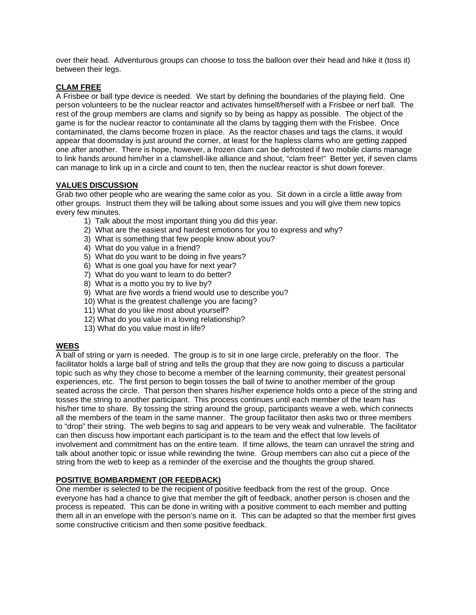over their head. Adventurous groups can choose to toss the balloon over their head and hike it (toss it) between their legs.

# **CLAM FREE**

A Frisbee or ball type device is needed. We start by defining the boundaries of the playing field. One person volunteers to be the nuclear reactor and activates himself/herself with a Frisbee or nerf ball. The rest of the group members are clams and signify so by being as happy as possible. The object of the game is for the nuclear reactor to contaminate all the clams by tagging them with the Frisbee. Once contaminated, the clams become frozen in place. As the reactor chases and tags the clams, it would appear that doomsday is just around the corner, at least for the hapless clams who are getting zapped one after another. There is hope, however, a frozen clam can be defrosted if two mobile clams manage to link hands around him/her in a clamshell-like alliance and shout, "clam free!" Better yet, if seven clams can manage to link up in a circle and count to ten, then the nuclear reactor is shut down forever.

# **VALUES DISCUSSION**

Grab two other people who are wearing the same color as you. Sit down in a circle a little away from other groups. Instruct them they will be talking about some issues and you will give them new topics every few minutes.

- 1) Talk about the most important thing you did this year.
- 2) What are the easiest and hardest emotions for you to express and why?
- 3) What is something that few people know about you?
- 4) What do you value in a friend?
- 5) What do you want to be doing in five years?
- 6) What is one goal you have for next year?
- 7) What do you want to learn to do better?
- 8) What is a motto you try to live by?
- 9) What are five words a friend would use to describe you?
- 10) What is the greatest challenge you are facing?
- 11) What do you like most about yourself?
- 12) What do you value in a loving relationship?
- 13) What do you value most in life?

# **WEBS**

A ball of string or yarn is needed. The group is to sit in one large circle, preferably on the floor. The facilitator holds a large ball of string and tells the group that they are now going to discuss a particular topic such as why they chose to become a member of the learning community, their greatest personal experiences, etc. The first person to begin tosses the ball of twine to another member of the group seated across the circle. That person then shares his/her experience holds onto a piece of the string and tosses the string to another participant. This process continues until each member of the team has his/her time to share. By tossing the string around the group, participants weave a web, which connects all the members of the team in the same manner. The group facilitator then asks two or three members to "drop" their string. The web begins to sag and appears to be very weak and vulnerable. The facilitator can then discuss how important each participant is to the team and the effect that low levels of involvement and commitment has on the entire team. If time allows, the team can unravel the string and talk about another topic or issue while rewinding the twine. Group members can also cut a piece of the string from the web to keep as a reminder of the exercise and the thoughts the group shared.

# **POSITIVE BOMBARDMENT (OR FEEDBACK)**

One member is selected to be the recipient of positive feedback from the rest of the group. Once everyone has had a chance to give that member the gift of feedback, another person is chosen and the process is repeated. This can be done in writing with a positive comment to each member and putting them all in an envelope with the person's name on it. This can be adapted so that the member first gives some constructive criticism and then some positive feedback.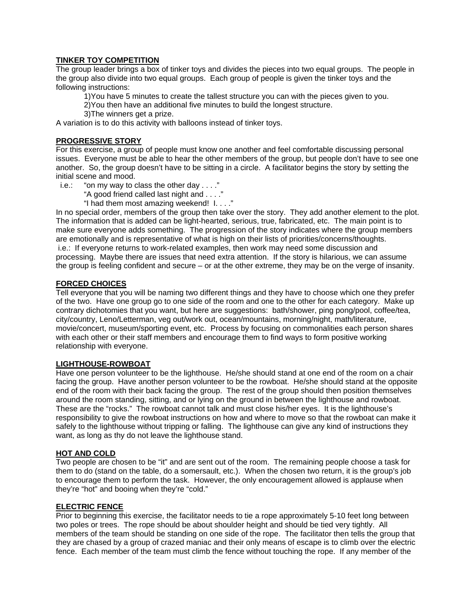# **TINKER TOY COMPETITION**

The group leader brings a box of tinker toys and divides the pieces into two equal groups. The people in the group also divide into two equal groups. Each group of people is given the tinker toys and the following instructions:

1)You have 5 minutes to create the tallest structure you can with the pieces given to you.

- 2)You then have an additional five minutes to build the longest structure.
- 3)The winners get a prize.

A variation is to do this activity with balloons instead of tinker toys.

### **PROGRESSIVE STORY**

For this exercise, a group of people must know one another and feel comfortable discussing personal issues. Everyone must be able to hear the other members of the group, but people don't have to see one another. So, the group doesn't have to be sitting in a circle. A facilitator begins the story by setting the initial scene and mood.

i.e.: "on my way to class the other day  $\dots$ ."

"A good friend called last night and . . . ."

"I had them most amazing weekend! I. . . ."

In no special order, members of the group then take over the story. They add another element to the plot. The information that is added can be light-hearted, serious, true, fabricated, etc. The main point is to make sure everyone adds something. The progression of the story indicates where the group members are emotionally and is representative of what is high on their lists of priorities/concerns/thoughts. i.e.: If everyone returns to work-related examples, then work may need some discussion and processing. Maybe there are issues that need extra attention. If the story is hilarious, we can assume the group is feeling confident and secure – or at the other extreme, they may be on the verge of insanity.

### **FORCED CHOICES**

Tell everyone that you will be naming two different things and they have to choose which one they prefer of the two. Have one group go to one side of the room and one to the other for each category. Make up contrary dichotomies that you want, but here are suggestions: bath/shower, ping pong/pool, coffee/tea, city/country, Leno/Letterman, veg out/work out, ocean/mountains, morning/night, math/literature, movie/concert, museum/sporting event, etc. Process by focusing on commonalities each person shares with each other or their staff members and encourage them to find ways to form positive working relationship with everyone.

#### **LIGHTHOUSE-ROWBOAT**

Have one person volunteer to be the lighthouse. He/she should stand at one end of the room on a chair facing the group. Have another person volunteer to be the rowboat. He/she should stand at the opposite end of the room with their back facing the group. The rest of the group should then position themselves around the room standing, sitting, and or lying on the ground in between the lighthouse and rowboat. These are the "rocks." The rowboat cannot talk and must close his/her eyes. It is the lighthouse's responsibility to give the rowboat instructions on how and where to move so that the rowboat can make it safely to the lighthouse without tripping or falling. The lighthouse can give any kind of instructions they want, as long as thy do not leave the lighthouse stand.

### **HOT AND COLD**

Two people are chosen to be "it" and are sent out of the room. The remaining people choose a task for them to do (stand on the table, do a somersault, etc.). When the chosen two return, it is the group's job to encourage them to perform the task. However, the only encouragement allowed is applause when they're "hot" and booing when they're "cold."

#### **ELECTRIC FENCE**

Prior to beginning this exercise, the facilitator needs to tie a rope approximately 5-10 feet long between two poles or trees. The rope should be about shoulder height and should be tied very tightly. All members of the team should be standing on one side of the rope. The facilitator then tells the group that they are chased by a group of crazed maniac and their only means of escape is to climb over the electric fence. Each member of the team must climb the fence without touching the rope. If any member of the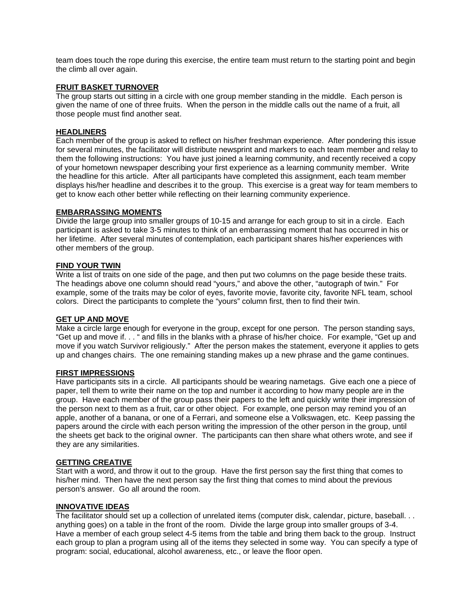team does touch the rope during this exercise, the entire team must return to the starting point and begin the climb all over again.

### **FRUIT BASKET TURNOVER**

The group starts out sitting in a circle with one group member standing in the middle. Each person is given the name of one of three fruits. When the person in the middle calls out the name of a fruit, all those people must find another seat.

#### **HEADLINERS**

Each member of the group is asked to reflect on his/her freshman experience. After pondering this issue for several minutes, the facilitator will distribute newsprint and markers to each team member and relay to them the following instructions: You have just joined a learning community, and recently received a copy of your hometown newspaper describing your first experience as a learning community member. Write the headline for this article. After all participants have completed this assignment, each team member displays his/her headline and describes it to the group. This exercise is a great way for team members to get to know each other better while reflecting on their learning community experience.

#### **EMBARRASSING MOMENTS**

Divide the large group into smaller groups of 10-15 and arrange for each group to sit in a circle. Each participant is asked to take 3-5 minutes to think of an embarrassing moment that has occurred in his or her lifetime. After several minutes of contemplation, each participant shares his/her experiences with other members of the group.

#### **FIND YOUR TWIN**

Write a list of traits on one side of the page, and then put two columns on the page beside these traits. The headings above one column should read "yours," and above the other, "autograph of twin." For example, some of the traits may be color of eyes, favorite movie, favorite city, favorite NFL team, school colors. Direct the participants to complete the "yours" column first, then to find their twin.

#### **GET UP AND MOVE**

Make a circle large enough for everyone in the group, except for one person. The person standing says, "Get up and move if. . . " and fills in the blanks with a phrase of his/her choice. For example, "Get up and move if you watch Survivor religiously." After the person makes the statement, everyone it applies to gets up and changes chairs. The one remaining standing makes up a new phrase and the game continues.

### **FIRST IMPRESSIONS**

Have participants sits in a circle. All participants should be wearing nametags. Give each one a piece of paper, tell them to write their name on the top and number it according to how many people are in the group. Have each member of the group pass their papers to the left and quickly write their impression of the person next to them as a fruit, car or other object. For example, one person may remind you of an apple, another of a banana, or one of a Ferrari, and someone else a Volkswagen, etc. Keep passing the papers around the circle with each person writing the impression of the other person in the group, until the sheets get back to the original owner. The participants can then share what others wrote, and see if they are any similarities.

#### **GETTING CREATIVE**

Start with a word, and throw it out to the group. Have the first person say the first thing that comes to his/her mind. Then have the next person say the first thing that comes to mind about the previous person's answer. Go all around the room.

#### **INNOVATIVE IDEAS**

The facilitator should set up a collection of unrelated items (computer disk, calendar, picture, baseball. . . anything goes) on a table in the front of the room. Divide the large group into smaller groups of 3-4. Have a member of each group select 4-5 items from the table and bring them back to the group. Instruct each group to plan a program using all of the items they selected in some way. You can specify a type of program: social, educational, alcohol awareness, etc., or leave the floor open.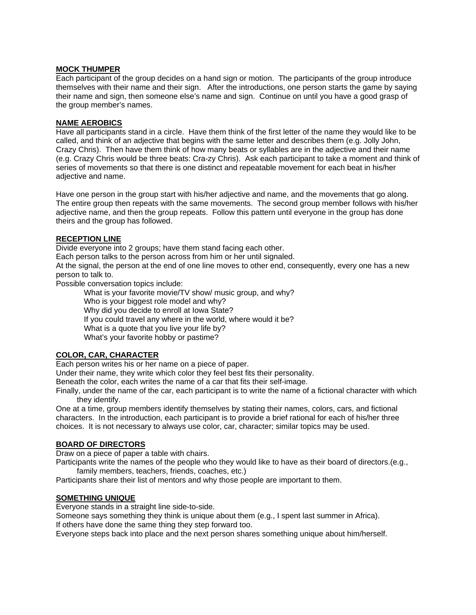#### **MOCK THUMPER**

Each participant of the group decides on a hand sign or motion. The participants of the group introduce themselves with their name and their sign. After the introductions, one person starts the game by saying their name and sign, then someone else's name and sign. Continue on until you have a good grasp of the group member's names.

### **NAME AEROBICS**

Have all participants stand in a circle. Have them think of the first letter of the name they would like to be called, and think of an adjective that begins with the same letter and describes them (e.g. Jolly John, Crazy Chris). Then have them think of how many beats or syllables are in the adjective and their name (e.g. Crazy Chris would be three beats: Cra-zy Chris). Ask each participant to take a moment and think of series of movements so that there is one distinct and repeatable movement for each beat in his/her adjective and name.

Have one person in the group start with his/her adjective and name, and the movements that go along. The entire group then repeats with the same movements. The second group member follows with his/her adjective name, and then the group repeats. Follow this pattern until everyone in the group has done theirs and the group has followed.

# **RECEPTION LINE**

Divide everyone into 2 groups; have them stand facing each other.

Each person talks to the person across from him or her until signaled.

At the signal, the person at the end of one line moves to other end, consequently, every one has a new person to talk to.

Possible conversation topics include:

What is your favorite movie/TV show/ music group, and why? Who is your biggest role model and why? Why did you decide to enroll at Iowa State? If you could travel any where in the world, where would it be? What is a quote that you live your life by? What's your favorite hobby or pastime?

# **COLOR, CAR, CHARACTER**

Each person writes his or her name on a piece of paper.

Under their name, they write which color they feel best fits their personality.

Beneath the color, each writes the name of a car that fits their self-image.

Finally, under the name of the car, each participant is to write the name of a fictional character with which they identify.

One at a time, group members identify themselves by stating their names, colors, cars, and fictional characters. In the introduction, each participant is to provide a brief rational for each of his/her three choices. It is not necessary to always use color, car, character; similar topics may be used.

#### **BOARD OF DIRECTORS**

Draw on a piece of paper a table with chairs.

Participants write the names of the people who they would like to have as their board of directors.(e.g., family members, teachers, friends, coaches, etc.)

Participants share their list of mentors and why those people are important to them.

# **SOMETHING UNIQUE**

Everyone stands in a straight line side-to-side.

Someone says something they think is unique about them (e.g., I spent last summer in Africa).

If others have done the same thing they step forward too.

Everyone steps back into place and the next person shares something unique about him/herself.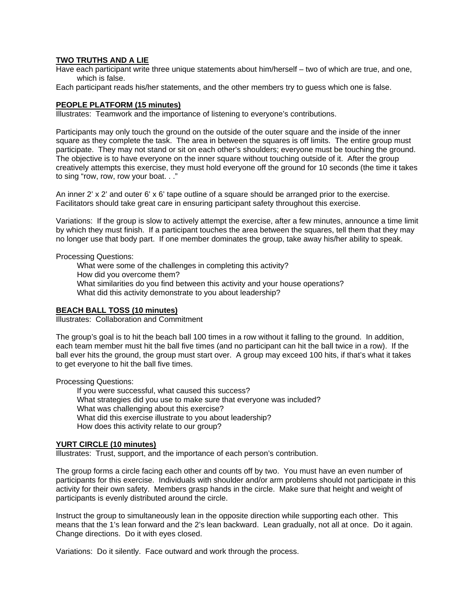### **TWO TRUTHS AND A LIE**

Have each participant write three unique statements about him/herself – two of which are true, and one, which is false.

Each participant reads his/her statements, and the other members try to guess which one is false.

#### **PEOPLE PLATFORM (15 minutes)**

Illustrates: Teamwork and the importance of listening to everyone's contributions.

Participants may only touch the ground on the outside of the outer square and the inside of the inner square as they complete the task. The area in between the squares is off limits. The entire group must participate. They may not stand or sit on each other's shoulders; everyone must be touching the ground. The objective is to have everyone on the inner square without touching outside of it. After the group creatively attempts this exercise, they must hold everyone off the ground for 10 seconds (the time it takes to sing "row, row, row your boat. . ."

An inner 2' x 2' and outer 6' x 6' tape outline of a square should be arranged prior to the exercise. Facilitators should take great care in ensuring participant safety throughout this exercise.

Variations: If the group is slow to actively attempt the exercise, after a few minutes, announce a time limit by which they must finish. If a participant touches the area between the squares, tell them that they may no longer use that body part. If one member dominates the group, take away his/her ability to speak.

Processing Questions:

What were some of the challenges in completing this activity? How did you overcome them? What similarities do you find between this activity and your house operations? What did this activity demonstrate to you about leadership?

#### **BEACH BALL TOSS (10 minutes)**

Illustrates: Collaboration and Commitment

The group's goal is to hit the beach ball 100 times in a row without it falling to the ground. In addition, each team member must hit the ball five times (and no participant can hit the ball twice in a row). If the ball ever hits the ground, the group must start over. A group may exceed 100 hits, if that's what it takes to get everyone to hit the ball five times.

Processing Questions:

If you were successful, what caused this success? What strategies did you use to make sure that everyone was included? What was challenging about this exercise? What did this exercise illustrate to you about leadership? How does this activity relate to our group?

#### **YURT CIRCLE (10 minutes)**

Illustrates: Trust, support, and the importance of each person's contribution.

The group forms a circle facing each other and counts off by two. You must have an even number of participants for this exercise. Individuals with shoulder and/or arm problems should not participate in this activity for their own safety. Members grasp hands in the circle. Make sure that height and weight of participants is evenly distributed around the circle.

Instruct the group to simultaneously lean in the opposite direction while supporting each other. This means that the 1's lean forward and the 2's lean backward. Lean gradually, not all at once. Do it again. Change directions. Do it with eyes closed.

Variations: Do it silently. Face outward and work through the process.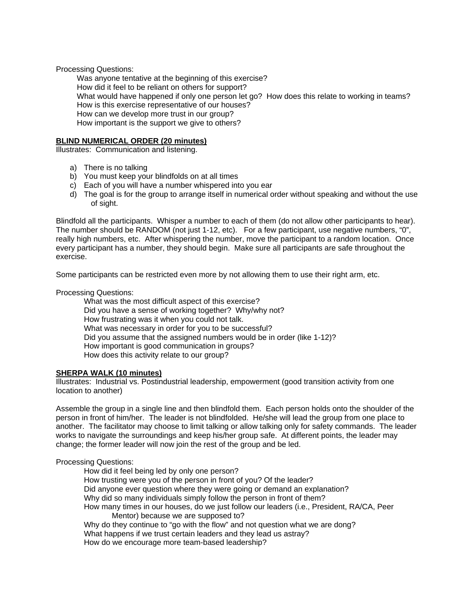Processing Questions:

Was anyone tentative at the beginning of this exercise? How did it feel to be reliant on others for support? What would have happened if only one person let go? How does this relate to working in teams? How is this exercise representative of our houses? How can we develop more trust in our group? How important is the support we give to others?

#### **BLIND NUMERICAL ORDER (20 minutes)**

Illustrates: Communication and listening.

- a) There is no talking
- b) You must keep your blindfolds on at all times
- c) Each of you will have a number whispered into you ear
- d) The goal is for the group to arrange itself in numerical order without speaking and without the use of sight.

Blindfold all the participants. Whisper a number to each of them (do not allow other participants to hear). The number should be RANDOM (not just 1-12, etc). For a few participant, use negative numbers, "0", really high numbers, etc. After whispering the number, move the participant to a random location. Once every participant has a number, they should begin. Make sure all participants are safe throughout the exercise.

Some participants can be restricted even more by not allowing them to use their right arm, etc.

Processing Questions:

What was the most difficult aspect of this exercise? Did you have a sense of working together? Why/why not? How frustrating was it when you could not talk. What was necessary in order for you to be successful? Did you assume that the assigned numbers would be in order (like 1-12)? How important is good communication in groups? How does this activity relate to our group?

#### **SHERPA WALK (10 minutes)**

Illustrates: Industrial vs. Postindustrial leadership, empowerment (good transition activity from one location to another)

Assemble the group in a single line and then blindfold them. Each person holds onto the shoulder of the person in front of him/her. The leader is not blindfolded. He/she will lead the group from one place to another. The facilitator may choose to limit talking or allow talking only for safety commands. The leader works to navigate the surroundings and keep his/her group safe. At different points, the leader may change; the former leader will now join the rest of the group and be led.

Processing Questions:

How did it feel being led by only one person? How trusting were you of the person in front of you? Of the leader? Did anyone ever question where they were going or demand an explanation? Why did so many individuals simply follow the person in front of them? How many times in our houses, do we just follow our leaders (i.e., President, RA/CA, Peer Mentor) because we are supposed to? Why do they continue to "go with the flow" and not question what we are dong? What happens if we trust certain leaders and they lead us astray? How do we encourage more team-based leadership?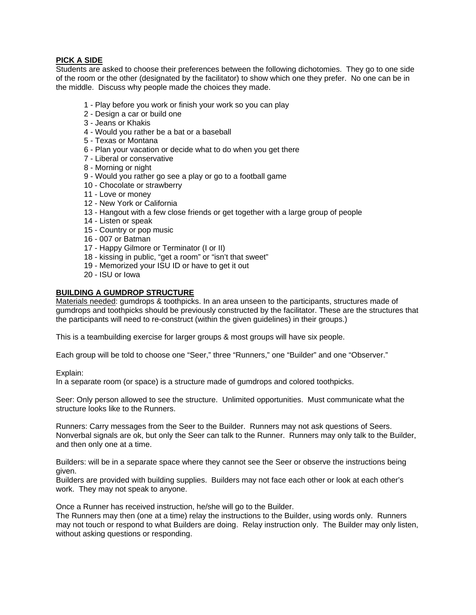# **PICK A SIDE**

Students are asked to choose their preferences between the following dichotomies. They go to one side of the room or the other (designated by the facilitator) to show which one they prefer. No one can be in the middle. Discuss why people made the choices they made.

- 1 Play before you work or finish your work so you can play
- 2 Design a car or build one
- 3 Jeans or Khakis
- 4 Would you rather be a bat or a baseball
- 5 Texas or Montana
- 6 Plan your vacation or decide what to do when you get there
- 7 Liberal or conservative
- 8 Morning or night
- 9 Would you rather go see a play or go to a football game
- 10 Chocolate or strawberry
- 11 Love or money
- 12 New York or California
- 13 Hangout with a few close friends or get together with a large group of people
- 14 Listen or speak
- 15 Country or pop music
- 16 007 or Batman
- 17 Happy Gilmore or Terminator (I or II)
- 18 kissing in public, "get a room" or "isn't that sweet"
- 19 Memorized your ISU ID or have to get it out
- 20 ISU or Iowa

### **BUILDING A GUMDROP STRUCTURE**

Materials needed: gumdrops & toothpicks. In an area unseen to the participants, structures made of gumdrops and toothpicks should be previously constructed by the facilitator. These are the structures that the participants will need to re-construct (within the given guidelines) in their groups.)

This is a teambuilding exercise for larger groups & most groups will have six people.

Each group will be told to choose one "Seer," three "Runners," one "Builder" and one "Observer."

#### Explain:

In a separate room (or space) is a structure made of gumdrops and colored toothpicks.

Seer: Only person allowed to see the structure. Unlimited opportunities. Must communicate what the structure looks like to the Runners.

Runners: Carry messages from the Seer to the Builder. Runners may not ask questions of Seers. Nonverbal signals are ok, but only the Seer can talk to the Runner. Runners may only talk to the Builder, and then only one at a time.

Builders: will be in a separate space where they cannot see the Seer or observe the instructions being given.

Builders are provided with building supplies. Builders may not face each other or look at each other's work. They may not speak to anyone.

Once a Runner has received instruction, he/she will go to the Builder.

The Runners may then (one at a time) relay the instructions to the Builder, using words only. Runners may not touch or respond to what Builders are doing. Relay instruction only. The Builder may only listen, without asking questions or responding.